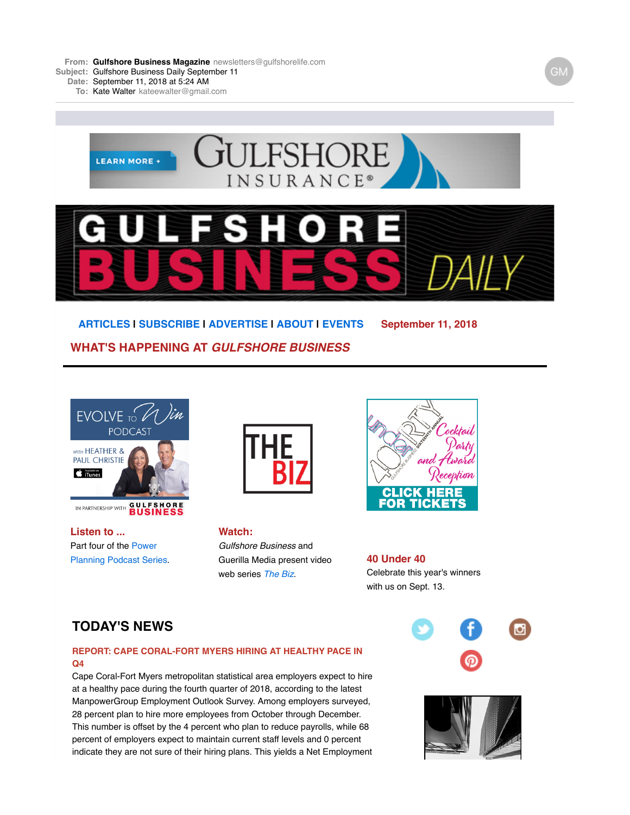**From: Gulfshore Business [Magazine](mailto:Magazinenewsletters@gulfshorelife.com)** [newsletters@gulfshorelife.com](mailto:Magazinenewsletters@gulfshorelife.com) **Subject:** Gulfshore Business Daily September 11      

**Date:** September 11, 2018 at 5:24 AM

**To:** Kate [Walter](mailto:Walterkateewalter@gmail.com) [kateewalter@gmail.com](mailto:Walterkateewalter@gmail.com)



**[ARTICLES](http://email.robly.com/wf/click?upn=kRwkQlhxIb97PmmxgiF9adcmCUSo5LBP8ZOd5VoJ6D8EOK4Cs6wYPIVD-2F9Z1edgc_SnWfsi8qFc8sq4HAaVVB4tMRX0-2B0-2F7BlFGjYoDKdIr2VZWgVlD05kSKtc4Q7lAWOeyNgYz2XzP1i0PCr-2BozCi9Ig2-2FIL2mtn-2Fz-2FP4T6fr1AFCyUiA3LQn4RommCUH7uDXrVKbIgrMdqeXxiV1Bfj26CJYIcJtQiXrFrnPPggwyx-2FZaA2ZMdcZVR18RTqBH-2FxbPFQ8caHbraQ4mbbESRggmGu2YKNMeXi1MR7cLcqb-2BY2EZLsPIvbiFkvmWOxfqVmP-2BmPNEU-2BxPEJBbcKFIelD0vND1Y4BhTO29Svu7Ul-2B7rLkKJ2F676A8p-2BLKdQECQZt-2BCf3kUA5jNletwC1S7SHFyXWUR6NgPursTX6xXwo53MLI9B-2B0b8XMQAmTG8lSuK5VPRG6AQvR2lbaCCA68gHkS6WGQrOxeB6qiutQE51Vwx01rhtoUYKbfuTGKpquSbCwrASxNAR4Sb1X3QEhQb5w-3D-3D) | [SUBSCRIBE](http://email.robly.com/wf/click?upn=BnpczGCWSFTYy7QuFyLgz4b2EVhFZrytwkFM4luLbrV07Yz0ujeAGdOG4DxqKtP2f2R31iQoApCMF1CDkeD13CNf26k5mIHYmU9T6iQO-2B5M-3D_SnWfsi8qFc8sq4HAaVVB4tMRX0-2B0-2F7BlFGjYoDKdIr2VZWgVlD05kSKtc4Q7lAWOeyNgYz2XzP1i0PCr-2BozCi9Ig2-2FIL2mtn-2Fz-2FP4T6fr1AFCyUiA3LQn4RommCUH7uDXrVKbIgrMdqeXxiV1Bfj26CJYIcJtQiXrFrnPPggwyx-2FZaA2ZMdcZVR18RTqBH-2FxbPFQ8caHbraQ4mbbESRggmGu2YKNMeXi1MR7cLcqb-2BY2EZLsPIvbiFkvmWOxfqVmP-2BmPNEU-2BxPEJBbcKFIelD8M9IOU9NF7LLuG1rPeu-2BUyUgcFVXP-2Br5Os4-2BVTvp-2B13dEgIPAGbqGycZTe-2Brs42dQE-2BL5n9RX48Lm-2BsaeI06G7-2Bxl2W3cOZBRfDoA4g6uHQyrrlJDlvEomAxrxgM-2FUN0lk4qUhmFeYRNTxSvy5OyxgLzISCLU-2FEc0vhUpxiDaCFxYRdAbL0n9XtFUmWTg8sEg-3D-3D) | [ADVERTISE](http://email.robly.com/wf/click?upn=kRwkQlhxIb97PmmxgiF9adcmCUSo5LBP8ZOd5VoJ6D9RLPriCmRQncePhj4AbOFnQmGDnmy2wMSQMhIHFWj8SQ-3D-3D_SnWfsi8qFc8sq4HAaVVB4tMRX0-2B0-2F7BlFGjYoDKdIr2VZWgVlD05kSKtc4Q7lAWOeyNgYz2XzP1i0PCr-2BozCi9Ig2-2FIL2mtn-2Fz-2FP4T6fr1AFCyUiA3LQn4RommCUH7uDXrVKbIgrMdqeXxiV1Bfj26CJYIcJtQiXrFrnPPggwyx-2FZaA2ZMdcZVR18RTqBH-2FxbPFQ8caHbraQ4mbbESRggmGu2YKNMeXi1MR7cLcqb-2BY2EZLsPIvbiFkvmWOxfqVmP-2BmPNEU-2BxPEJBbcKFIelDzT3zBjgcw4TmnOzilxtFh6UgtMR2zedZbq-2BTliyNzcbbancLgvS0CXx86daRUZtTLRUR2AdEsGRYtYaumMrgLwzrz4eIhs0khwZ3KCJALpSBRZp0IWV4-2BtGdYaoSIm1s224It5u-2FNIxsglYtk4-2FinJyaROflbyeY6KUoZxcSduutgfN4fU1UmyAjmZ-2BbTzo4Q-3D-3D) | [ABOUT](http://email.robly.com/wf/click?upn=kRwkQlhxIb97PmmxgiF9adcmCUSo5LBP8ZOd5VoJ6D9RLPriCmRQncePhj4AbOFnUdmAtoSGSXIxHNWbsYOC9Q-3D-3D_SnWfsi8qFc8sq4HAaVVB4tMRX0-2B0-2F7BlFGjYoDKdIr2VZWgVlD05kSKtc4Q7lAWOeyNgYz2XzP1i0PCr-2BozCi9Ig2-2FIL2mtn-2Fz-2FP4T6fr1AFCyUiA3LQn4RommCUH7uDXrVKbIgrMdqeXxiV1Bfj26CJYIcJtQiXrFrnPPggwyx-2FZaA2ZMdcZVR18RTqBH-2FxbPFQ8caHbraQ4mbbESRggmGu2YKNMeXi1MR7cLcqb-2BY2EZLsPIvbiFkvmWOxfqVmP-2BmPNEU-2BxPEJBbcKFIelDzlFeurFz5B3YeLD5Xixooqt41XWVPeiLVhDYRKPlPniVgyFliY-2F42ONQPyJEPT5G1N5QHAryPMkLKxTe-2FtIoYN1z-2FnERvZms9eVDKQwqRZNrjW2hR7vgib2HCMh0bp6rUf1PwHo-2FmMl6yhsP-2FK2SjzyPgu3VxuIz5NM3iO4bjsmdBo6jcvNKfFYhDB8AYDS7A-3D-3D) | [EVENTS](http://email.robly.com/wf/click?upn=kRwkQlhxIb97PmmxgiF9adcmCUSo5LBP8ZOd5VoJ6D8EOK4Cs6wYPIVD-2F9Z1edgc_SnWfsi8qFc8sq4HAaVVB4tMRX0-2B0-2F7BlFGjYoDKdIr2VZWgVlD05kSKtc4Q7lAWOeyNgYz2XzP1i0PCr-2BozCi9Ig2-2FIL2mtn-2Fz-2FP4T6fr1AFCyUiA3LQn4RommCUH7uDXrVKbIgrMdqeXxiV1Bfj26CJYIcJtQiXrFrnPPggwyx-2FZaA2ZMdcZVR18RTqBH-2FxbPFQ8caHbraQ4mbbESRggmGu2YKNMeXi1MR7cLcqb-2BY2EZLsPIvbiFkvmWOxfqVmP-2BmPNEU-2BxPEJBbcKFIelDz-2BKinzLeFRy9zUlR8FWBs9Fzm5joiXZWZ4-2BwSHn3l5UWuAEUwnLOeQ0s28COYFaPPVE-2FBJbvKnnoxXqUtC8eJzoi9ozm4EoIvewcxPOtRvTC9wOzFzD9-2FwMv4d1VsXbrnsdhSjydUjZmBUvzxg953kpq8ZKYDyA5Vh6NLfKMKqPhQr-2BC5K0QeUY-2FecRnX2u6w-3D-3D) September 11, 2018 WHAT'S HAPPENING AT** *GULFSHORE BUSINESS*



**Listen to ...** Part four of the Power [Planning Podcast Series.](http://email.robly.com/wf/click?upn=kRwkQlhxIb97PmmxgiF9adcmCUSo5LBP8ZOd5VoJ6D8yi3tugToHgxpKlm-2Fua3DUfazy8syFufDpM72qUslr-2B01jXrHjUE-2FgXup7e3ImcGo-3D_SnWfsi8qFc8sq4HAaVVB4tMRX0-2B0-2F7BlFGjYoDKdIr2VZWgVlD05kSKtc4Q7lAWOeyNgYz2XzP1i0PCr-2BozCi9Ig2-2FIL2mtn-2Fz-2FP4T6fr1AFCyUiA3LQn4RommCUH7uDXrVKbIgrMdqeXxiV1Bfj26CJYIcJtQiXrFrnPPggwyx-2FZaA2ZMdcZVR18RTqBH-2FxbPFQ8caHbraQ4mbbESRggmGu2YKNMeXi1MR7cLcqb-2BY2EZLsPIvbiFkvmWOxfqVmP-2BmPNEU-2BxPEJBbcKFIelD2-2B12HhpkGyvIS5yqhAzvLIh0ewvy55UpXYJ9QVIvsSzo6MGLnefbX9eS5SQkfa-2BNiNVMFEYmnAcfJYw0lVuJ6fXAUP2TaJNUaQrMjNJv1bNVWXszABKu02e5d8HvG8D000ClQYyuwVFvwjDut791LgrwJTQ0fmq8KTCi74hY5BELW5NhorrjbIMO6mccgdk9Q-3D-3D)



**Watch:** *Gulfshore Business* and Guerilla Media present video web series *[The Biz](http://email.robly.com/wf/click?upn=kRwkQlhxIb97PmmxgiF9adcmCUSo5LBP8ZOd5VoJ6D-2FkEqamLm1sWfK9d6Q-2Flt6mlqUy2uwlXezwgqs-2Fspi9wn1KTyPeou-2FrFPAHKqzpcfb7aBFlvmc1ju-2FIdzMNJAYwnWK9wpIcfK4FvIyguHRmtQ-3D-3D_SnWfsi8qFc8sq4HAaVVB4tMRX0-2B0-2F7BlFGjYoDKdIr2VZWgVlD05kSKtc4Q7lAWOeyNgYz2XzP1i0PCr-2BozCi9Ig2-2FIL2mtn-2Fz-2FP4T6fr1AFCyUiA3LQn4RommCUH7uDXrVKbIgrMdqeXxiV1Bfj26CJYIcJtQiXrFrnPPggwyx-2FZaA2ZMdcZVR18RTqBH-2FxbPFQ8caHbraQ4mbbESRggmGu2YKNMeXi1MR7cLcqb-2BY2EZLsPIvbiFkvmWOxfqVmP-2BmPNEU-2BxPEJBbcKFIelD8da27Aso4oIrOxIT50kNHhYMi5SmvcPdLaBr3Uml5UK2-2F0tApY2t6gN277n2MtBjHmNMxCVVDNPqHGVlQ4JHgNba1OoZ-2BJepeLGK6nqlwQ5d1nvoxnSTj-2BtBxK6g8-2BfEyKhY88WGHoYR5-2FucKlvvfsAeNbHhofEBozgNZSmrz0m-2FrJjgp2WFuLl6lcdgwQuEA-3D-3D)*.



**40 Under 40** Celebrate this year's winners with us on Sept. 13.

## **TODAY'S NEWS**

## **REPORT: CAPE CORAL-FORT MYERS HIRING AT HEALTHY PACE IN Q4**

Cape Coral-Fort Myers metropolitan statistical area employers expect to hire at a healthy pace during the fourth quarter of 2018, according to the latest ManpowerGroup Employment Outlook Survey. Among employers surveyed, 28 percent plan to hire more employees from October through December. This number is offset by the 4 percent who plan to reduce payrolls, while 68 percent of employers expect to maintain current staff levels and 0 percent indicate they are not sure of their hiring plans. This yields a Net Employment